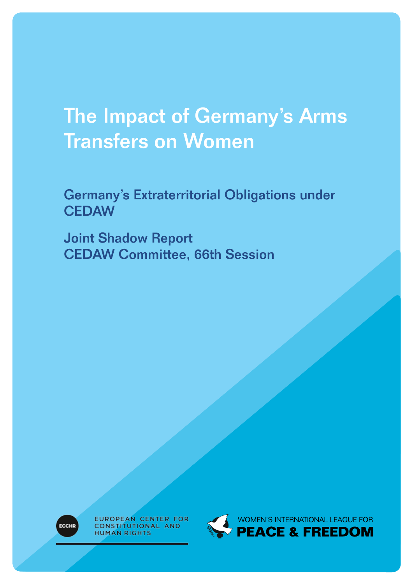# The Impact of Germany's Arms Transfers on Women

Germany's Extraterritorial Obligations under **CEDAW** 

Joint Shadow Report CEDAW Committee, 66th Session



EUROPEAN CENTER FOR CONSTITUTIONAL AND **HUMAN RIGHTS** 

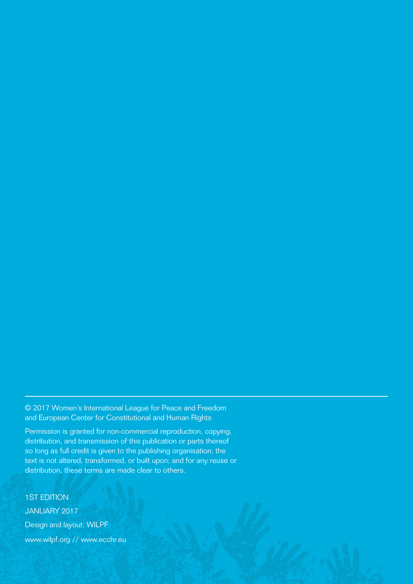© 2017 Women's International League for Peace and Freedom and European Center for Constitutional and Human Rights

Permission is granted for non-commercial reproduction, copying, distribution, and transmission of this publication or parts thereof so long as full credit is given to the publishing organisation; the text is not altered, transformed, or built upon; and for any reuse or distribution, these terms are made clear to others.

1ST EDITION JANUARY 2017 Design and layout: WILPF www.wilpf.org // www.ecchr.eu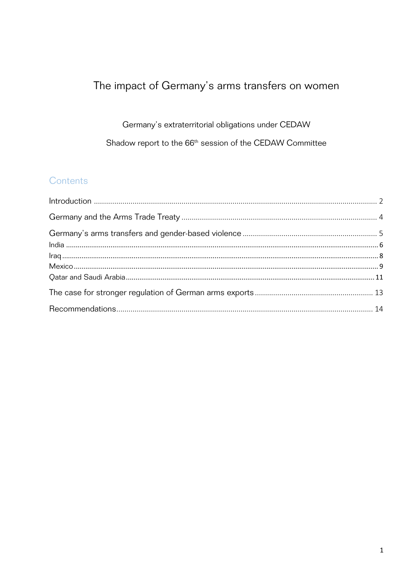## The impact of Germany's arms transfers on women

Germany's extraterritorial obligations under CEDAW Shadow report to the 66<sup>th</sup> session of the CEDAW Committee

## Contents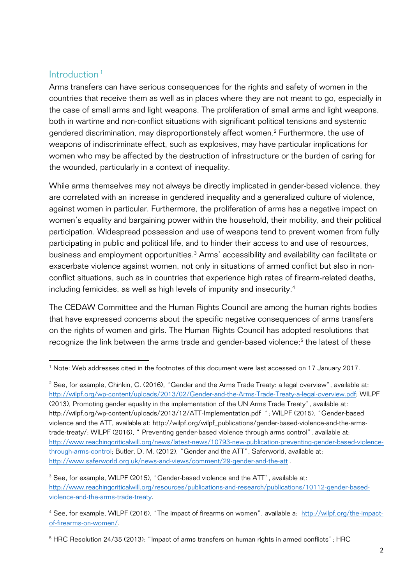### Introduction <sup>1</sup>

<u> 1989 - Johann Stein, fransk politik (d. 1989)</u>

Arms transfers can have serious consequences for the rights and safety of women in the countries that receive them as well as in places where they are not meant to go, especially in the case of small arms and light weapons. The proliferation of small arms and light weapons, both in wartime and non-conflict situations with significant political tensions and systemic gendered discrimination, may disproportionately affect women.<sup>2</sup> Furthermore, the use of weapons of indiscriminate effect, such as explosives, may have particular implications for women who may be affected by the destruction of infrastructure or the burden of caring for the wounded, particularly in a context of inequality.

While arms themselves may not always be directly implicated in gender-based violence, they are correlated with an increase in gendered inequality and a generalized culture of violence, against women in particular. Furthermore, the proliferation of arms has a negative impact on women's equality and bargaining power within the household, their mobility, and their political participation. Widespread possession and use of weapons tend to prevent women from fully participating in public and political life, and to hinder their access to and use of resources, business and employment opportunities.<sup>3</sup> Arms' accessibility and availability can facilitate or exacerbate violence against women, not only in situations of armed conflict but also in nonconflict situations, such as in countries that experience high rates of firearm-related deaths, including femicides, as well as high levels of impunity and insecurity.4

The CEDAW Committee and the Human Rights Council are among the human rights bodies that have expressed concerns about the specific negative consequences of arms transfers on the rights of women and girls. The Human Rights Council has adopted resolutions that recognize the link between the arms trade and gender-based violence;<sup>5</sup> the latest of these

<sup>1</sup> Note: Web addresses cited in the footnotes of this document were last accessed on 17 January 2017.

<sup>&</sup>lt;sup>2</sup> See, for example, Chinkin, C. (2016), "Gender and the Arms Trade Treaty: a legal overview", available at: http://wilpf.org/wp-content/uploads/2013/02/Gender-and-the-Arms-Trade-Treaty-a-legal-overview.pdf; WILPF (2013), Promoting gender equality in the implementation of the UN Arms Trade Treaty", available at: http://wilpf.org/wp-content/uploads/2013/12/ATT-Implementation.pdf "; WILPF (2015), "Gender-based violence and the ATT, available at: http://wilpf.org/wilpf\_publications/gender-based-violence-and-the-armstrade-treaty/; WILPF (2016), " Preventing gender-based violence through arms control", available at: http://www.reachingcriticalwill.org/news/latest-news/10793-new-publication-preventing-gender-based-violencethrough-arms-control; Butler, D. M. (2012), "Gender and the ATT", Saferworld, available at: http://www.saferworld.org.uk/news-and-views/comment/29-gender-and-the-att .

<sup>&</sup>lt;sup>3</sup> See, for example, WILPF (2015), "Gender-based violence and the ATT", available at: http://www.reachingcriticalwill.org/resources/publications-and-research/publications/10112-gender-basedviolence-and-the-arms-trade-treaty.

<sup>4</sup> See, for example, WILPF (2016), "The impact of firearms on women", available a: http://wilpf.org/the-impactof-firearms-on-women/.

<sup>&</sup>lt;sup>5</sup> HRC Resolution 24/35 (2013): "Impact of arms transfers on human rights in armed conflicts"; HRC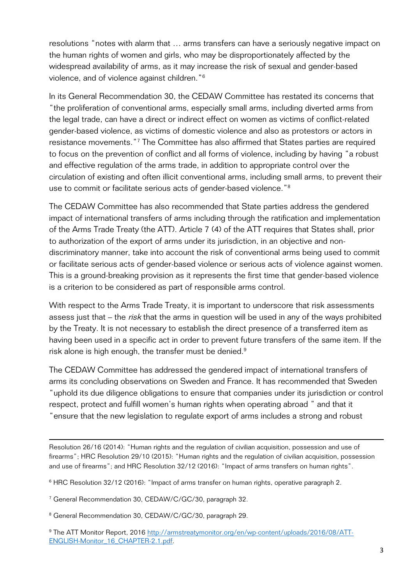resolutions "notes with alarm that … arms transfers can have a seriously negative impact on the human rights of women and girls, who may be disproportionately affected by the widespread availability of arms, as it may increase the risk of sexual and gender-based violence, and of violence against children."6

In its General Recommendation 30, the CEDAW Committee has restated its concerns that "the proliferation of conventional arms, especially small arms, including diverted arms from the legal trade, can have a direct or indirect effect on women as victims of conflict-related gender-based violence, as victims of domestic violence and also as protestors or actors in resistance movements."7 The Committee has also affirmed that States parties are required to focus on the prevention of conflict and all forms of violence, including by having "a robust and effective regulation of the arms trade, in addition to appropriate control over the circulation of existing and often illicit conventional arms, including small arms, to prevent their use to commit or facilitate serious acts of gender-based violence."<sup>8</sup>

The CEDAW Committee has also recommended that State parties address the gendered impact of international transfers of arms including through the ratification and implementation of the Arms Trade Treaty (the ATT). Article 7 (4) of the ATT requires that States shall, prior to authorization of the export of arms under its jurisdiction, in an objective and nondiscriminatory manner, take into account the risk of conventional arms being used to commit or facilitate serious acts of gender-based violence or serious acts of violence against women. This is a ground-breaking provision as it represents the first time that gender-based violence is a criterion to be considered as part of responsible arms control.

With respect to the Arms Trade Treaty, it is important to underscore that risk assessments assess just that – the *risk* that the arms in question will be used in any of the ways prohibited by the Treaty. It is not necessary to establish the direct presence of a transferred item as having been used in a specific act in order to prevent future transfers of the same item. If the risk alone is high enough, the transfer must be denied.<sup>9</sup>

The CEDAW Committee has addressed the gendered impact of international transfers of arms its concluding observations on Sweden and France. It has recommended that Sweden "uphold its due diligence obligations to ensure that companies under its jurisdiction or control respect, protect and fulfill women's human rights when operating abroad " and that it "ensure that the new legislation to regulate export of arms includes a strong and robust

Resolution 26/16 (2014): "Human rights and the regulation of civilian acquisition, possession and use of firearms"; HRC Resolution 29/10 (2015): "Human rights and the regulation of civilian acquisition, possession and use of firearms"; and HRC Resolution 32/12 (2016): "Impact of arms transfers on human rights".

 

<sup>6</sup> HRC Resolution 32/12 (2016): "Impact of arms transfer on human rights, operative paragraph 2.

<sup>7</sup> General Recommendation 30, CEDAW/C/GC/30, paragraph 32.

<sup>8</sup> General Recommendation 30, CEDAW/C/GC/30, paragraph 29.

<sup>&</sup>lt;sup>9</sup> The ATT Monitor Report, 2016 http://armstreatymonitor.org/en/wp-content/uploads/2016/08/ATT-ENGLISH-Monitor\_16\_CHAPTER-2.1.pdf.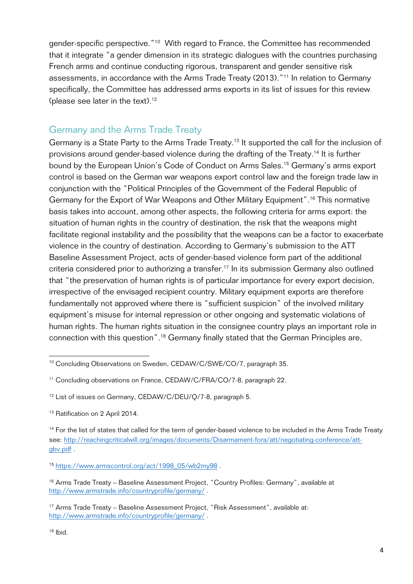gender-specific perspective."10 With regard to France, the Committee has recommended that it integrate "a gender dimension in its strategic dialogues with the countries purchasing French arms and continue conducting rigorous, transparent and gender sensitive risk assessments, in accordance with the Arms Trade Treaty (2013)."11 In relation to Germany specifically, the Committee has addressed arms exports in its list of issues for this review (please see later in the text).<sup>12</sup>

### Germany and the Arms Trade Treaty

Germany is a State Party to the Arms Trade Treaty.<sup>13</sup> It supported the call for the inclusion of provisions around gender-based violence during the drafting of the Treaty.14 It is further bound by the European Union's Code of Conduct on Arms Sales.15 Germany's arms export control is based on the German war weapons export control law and the foreign trade law in conjunction with the "Political Principles of the Government of the Federal Republic of Germany for the Export of War Weapons and Other Military Equipment".<sup>16</sup> This normative basis takes into account, among other aspects, the following criteria for arms export: the situation of human rights in the country of destination, the risk that the weapons might facilitate regional instability and the possibility that the weapons can be a factor to exacerbate violence in the country of destination. According to Germany's submission to the ATT Baseline Assessment Project, acts of gender-based violence form part of the additional criteria considered prior to authorizing a transfer.<sup>17</sup> In its submission Germany also outlined that "the preservation of human rights is of particular importance for every export decision, irrespective of the envisaged recipient country. Military equipment exports are therefore fundamentally not approved where there is "sufficient suspicion" of the involved military equipment's misuse for internal repression or other ongoing and systematic violations of human rights. The human rights situation in the consignee country plays an important role in connection with this question".18 Germany finally stated that the German Principles are,

<sup>&</sup>lt;sup>10</sup> Concluding Observations on Sweden, CEDAW/C/SWE/CO/7, paragraph 35.

<sup>&</sup>lt;sup>11</sup> Concluding observations on France, CEDAW/C/FRA/CO/7-8, paragraph 22.

<sup>&</sup>lt;sup>12</sup> List of issues on Germany, CEDAW/C/DEU/Q/7-8, paragraph 5.

<sup>&</sup>lt;sup>13</sup> Ratification on 2 April 2014.

<sup>&</sup>lt;sup>14</sup> For the list of states that called for the term of gender-based violence to be included in the Arms Trade Treaty see: http://reachingcriticalwill.org/images/documents/Disarmament-fora/att/negotiating-conference/attgbv.pdf .

<sup>15</sup> https://www.armscontrol.org/act/1998\_05/wb2my98 .

<sup>&</sup>lt;sup>16</sup> Arms Trade Treaty – Baseline Assessment Project, "Country Profiles: Germany", available at http://www.armstrade.info/countryprofile/germany/ .

<sup>&</sup>lt;sup>17</sup> Arms Trade Treaty – Baseline Assessment Project, "Risk Assessment", available at: http://www.armstrade.info/countryprofile/germany/ .

 $18$  lbid.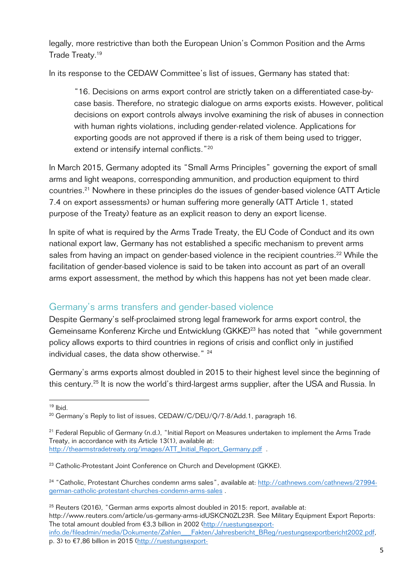legally, more restrictive than both the European Union's Common Position and the Arms Trade Treaty.19

In its response to the CEDAW Committee's list of issues, Germany has stated that:

"16. Decisions on arms export control are strictly taken on a differentiated case-bycase basis. Therefore, no strategic dialogue on arms exports exists. However, political decisions on export controls always involve examining the risk of abuses in connection with human rights violations, including gender-related violence. Applications for exporting goods are not approved if there is a risk of them being used to trigger, extend or intensify internal conflicts."<sup>20</sup>

In March 2015, Germany adopted its "Small Arms Principles" governing the export of small arms and light weapons, corresponding ammunition, and production equipment to third countries.21 Nowhere in these principles do the issues of gender-based violence (ATT Article 7.4 on export assessments) or human suffering more generally (ATT Article 1, stated purpose of the Treaty) feature as an explicit reason to deny an export license.

In spite of what is required by the Arms Trade Treaty, the EU Code of Conduct and its own national export law, Germany has not established a specific mechanism to prevent arms sales from having an impact on gender-based violence in the recipient countries.<sup>22</sup> While the facilitation of gender-based violence is said to be taken into account as part of an overall arms export assessment, the method by which this happens has not yet been made clear.

## Germany's arms transfers and gender-based violence

Despite Germany's self-proclaimed strong legal framework for arms export control, the Gemeinsame Konferenz Kirche und Entwicklung (GKKE)<sup>23</sup> has noted that "while government policy allows exports to third countries in regions of crisis and conflict only in justified individual cases, the data show otherwise." <sup>24</sup>

Germany's arms exports almost doubled in 2015 to their highest level since the beginning of this century.<sup>25</sup> It is now the world's third-largest arms supplier, after the USA and Russia. In

 $19$  lhid.

<sup>&</sup>lt;sup>20</sup> Germany's Reply to list of issues, CEDAW/C/DEU/Q/7-8/Add.1, paragraph 16.

<sup>&</sup>lt;sup>21</sup> Federal Republic of Germany (n.d.), "Initial Report on Measures undertaken to implement the Arms Trade Treaty, in accordance with its Article 13(1), available at: http://thearmstradetreaty.org/images/ATT\_Initial\_Report\_Germany.pdf .

<sup>&</sup>lt;sup>23</sup> Catholic-Protestant Joint Conference on Church and Development (GKKE).

<sup>24</sup> "Catholic, Protestant Churches condemn arms sales", available at: http://cathnews.com/cathnews/27994 german-catholic-protestant-churches-condemn-arms-sales .

 $25$  Reuters (2016), "German arms exports almost doubled in 2015: report, available at: http://www.reuters.com/article/us-germany-arms-idUSKCN0ZL23R. See Military Equipment Export Reports: The total amount doubled from €3,3 billion in 2002 (http://ruestungsexportinfo.de/fileadmin/media/Dokumente/Zahlen\_\_\_Fakten/Jahresbericht\_BReg/ruestungsexportbericht2002.pdf, p. 3) to €7,86 billion in 2015 (http://ruestungsexport-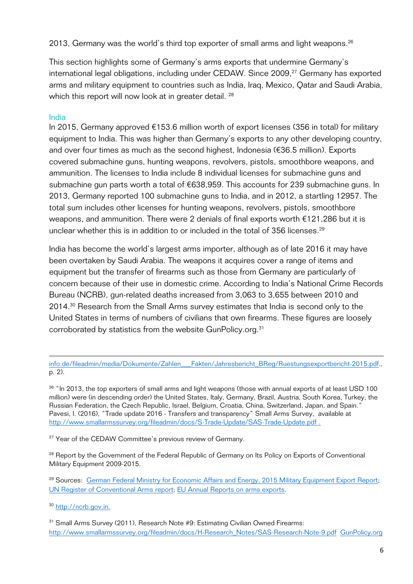2013, Germany was the world's third top exporter of small arms and light weapons. $^{26}$ 

This section highlights some of Germany's arms exports that undermine Germany's international legal obligations, including under CEDAW. Since 2009, <sup>27</sup> Germany has exported arms and military equipment to countries such as India, Iraq, Mexico, Qatar and Saudi Arabia, which this report will now look at in greater detail. <sup>28</sup>

#### India

In 2015, Germany approved €153.6 million worth of export licenses (356 in total) for military equipment to India. This was higher than Germany's exports to any other developing country, and over four times as much as the second highest, Indonesia (€36.5 million). Exports covered submachine guns, hunting weapons, revolvers, pistols, smoothbore weapons, and ammunition. The licenses to India include 8 individual licenses for submachine guns and submachine gun parts worth a total of €638,959. This accounts for 239 submachine guns. In 2013, Germany reported 100 submachine guns to India, and in 2012, a startling 12957. The total sum includes other licenses for hunting weapons, revolvers, pistols, smoothbore weapons, and ammunition. There were 2 denials of final exports worth €121,286 but it is unclear whether this is in addition to or included in the total of 356 licenses.<sup>29</sup>

India has become the world's largest arms importer, although as of late 2016 it may have been overtaken by Saudi Arabia. The weapons it acquires cover a range of items and equipment but the transfer of firearms such as those from Germany are particularly of concern because of their use in domestic crime. According to India's National Crime Records Bureau (NCRB), gun-related deaths increased from 3,063 to 3,655 between 2010 and 2014.<sup>30</sup> Research from the Small Arms survey estimates that India is second only to the United States in terms of numbers of civilians that own firearms. These figures are loosely corroborated by statistics from the website GunPolicy.org.<sup>31</sup>

<sup>26</sup> "In 2013, the top exporters of small arms and light weapons (those with annual exports of at least USD 100 million) were (in descending order) the United States, Italy, Germany, Brazil, Austria, South Korea, Turkey, the Russian Federation, the Czech Republic, Israel, Belgium, Croatia, China, Switzerland, Japan, and Spain." Pavesi, I. (2016), "Trade update 2016 - Transfers and transparency" Small Arms Survey, available at http://www.smallarmssurvey.org/fileadmin/docs/S-Trade-Update/SAS-Trade-Update.pdf .

<sup>27</sup> Year of the CEDAW Committee's previous review of Germany.

<sup>28</sup> Report by the Government of the Federal Republic of Germany on Its Policy on Exports of Conventional Military Equipment 2009-2015.

<sup>29</sup> Sources: German Federal Ministry for Economic Affairs and Energy, 2015 Military Equipment Export Report; UN Register of Conventional Arms report; EU Annual Reports on arms exports.

<sup>30</sup> http://ncrb.gov.in.

<sup>31</sup> Small Arms Survey (2011), Research Note #9: Estimating Civilian Owned Firearms: http://www.smallarmssurvey.org/fileadmin/docs/H-Research\_Notes/SAS-Research-Note-9.pdf GunPolicy.org

<sup>&</sup>lt;u> 1989 - Andrea Santa Andrea Andrea Andrea Andrea Andrea Andrea Andrea Andrea Andrea Andrea Andrea Andrea Andr</u> info.de/fileadmin/media/Dokumente/Zahlen\_\_\_Fakten/Jahresbericht\_BReg/Ruestungsexportbericht-2015.pdf., p. 2).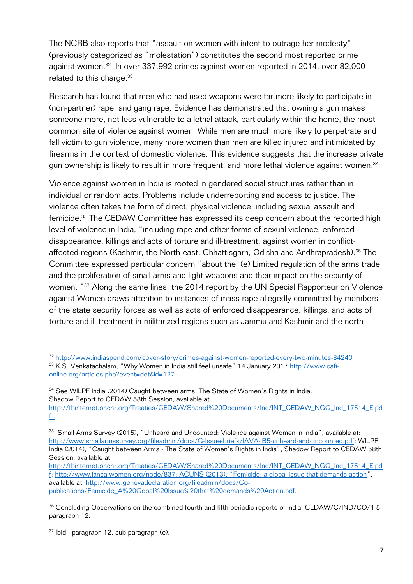The NCRB also reports that "assault on women with intent to outrage her modesty" (previously categorized as "molestation") constitutes the second most reported crime against women.32 In over 337,992 crimes against women reported in 2014, over 82,000 related to this charge.<sup>33</sup>

Research has found that men who had used weapons were far more likely to participate in (non-partner) rape, and gang rape. Evidence has demonstrated that owning a gun makes someone more, not less vulnerable to a lethal attack, particularly within the home, the most common site of violence against women. While men are much more likely to perpetrate and fall victim to gun violence, many more women than men are killed injured and intimidated by firearms in the context of domestic violence. This evidence suggests that the increase private gun ownership is likely to result in more frequent, and more lethal violence against women.<sup>34</sup>

Violence against women in India is rooted in gendered social structures rather than in individual or random acts. Problems include underreporting and access to justice. The violence often takes the form of direct, physical violence, including sexual assault and femicide.35 The CEDAW Committee has expressed its deep concern about the reported high level of violence in India, "including rape and other forms of sexual violence, enforced disappearance, killings and acts of torture and ill-treatment, against women in conflictaffected regions (Kashmir, the North-east, Chhattisgarh, Odisha and Andhrapradesh).<sup>36</sup> The Committee expressed particular concern "about the: (e) Limited regulation of the arms trade and the proliferation of small arms and light weapons and their impact on the security of women. "37 Along the same lines, the 2014 report by the UN Special Rapporteur on Violence against Women draws attention to instances of mass rape allegedly committed by members of the state security forces as well as acts of enforced disappearance, killings, and acts of torture and ill-treatment in militarized regions such as Jammu and Kashmir and the north-

<sup>32</sup> http://www.indiaspend.com/cover-story/crimes-against-women-reported-every-two-minutes-84240 <sup>33</sup> K.S. Venkatachalam, "Why Women in India still feel unsafe" 14 January 2017 http://www.cafionline.org/articles.php?event=det&id=127 .

<sup>&</sup>lt;sup>34</sup> See WILPF India (2014) Caught between arms. The State of Women's Rights in India. Shadow Report to CEDAW 58th Session, available at

http://tbinternet.ohchr.org/Treaties/CEDAW/Shared%20Documents/Ind/INT\_CEDAW\_NGO\_Ind\_17514\_E.pd f .

<sup>&</sup>lt;sup>35</sup> Small Arms Survey (2015), "Unheard and Uncounted: Violence against Women in India", available at: http://www.smallarmssurvey.org/fileadmin/docs/G-Issue-briefs/IAVA-IB5-unheard-and-uncounted.pdf; WILPF India (2014), "Caught between Arms - The State of Women's Rights in India", Shadow Report to CEDAW 58th Session, available at:

http://tbinternet.ohchr.org/Treaties/CEDAW/Shared%20Documents/Ind/INT\_CEDAW\_NGO\_Ind\_17514\_E.pd f; http://www.iansa-women.org/node/837; ACUNS (2013), "Femicide: a global issue that demands action", available at: http://www.genevadeclaration.org/fileadmin/docs/Copublications/Femicide\_A%20Gobal%20Issue%20that%20demands%20Action.pdf.

<sup>&</sup>lt;sup>36</sup> Concluding Observations on the combined fourth and fifth periodic reports of India, CEDAW/C/IND/CO/4-5, paragraph 12.

<sup>&</sup>lt;sup>37</sup> Ibid., paragraph 12, sub-paragraph (e).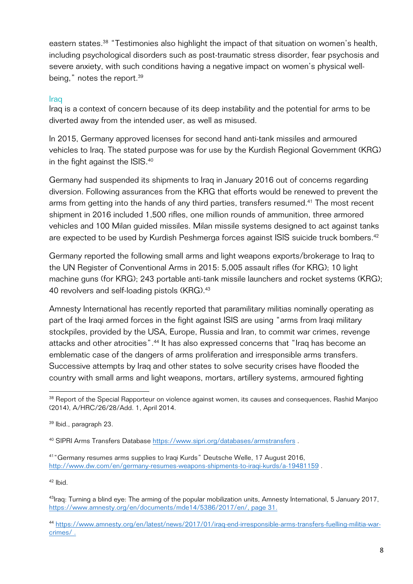eastern states.<sup>38</sup> "Testimonies also highlight the impact of that situation on women's health, including psychological disorders such as post-traumatic stress disorder, fear psychosis and severe anxiety, with such conditions having a negative impact on women's physical wellbeing," notes the report.<sup>39</sup>

#### **Iraq**

Iraq is a context of concern because of its deep instability and the potential for arms to be diverted away from the intended user, as well as misused.

In 2015, Germany approved licenses for second hand anti-tank missiles and armoured vehicles to Iraq. The stated purpose was for use by the Kurdish Regional Government (KRG) in the fight against the ISIS. 40

Germany had suspended its shipments to Iraq in January 2016 out of concerns regarding diversion. Following assurances from the KRG that efforts would be renewed to prevent the arms from getting into the hands of any third parties, transfers resumed.<sup>41</sup> The most recent shipment in 2016 included 1,500 rifles, one million rounds of ammunition, three armored vehicles and 100 Milan guided missiles. Milan missile systems designed to act against tanks are expected to be used by Kurdish Peshmerga forces against ISIS suicide truck bombers.<sup>42</sup>

Germany reported the following small arms and light weapons exports/brokerage to Iraq to the UN Register of Conventional Arms in 2015: 5,005 assault rifles (for KRG); 10 light machine guns (for KRG); 243 portable anti-tank missile launchers and rocket systems (KRG); 40 revolvers and self-loading pistols (KRG).<sup>43</sup>

Amnesty International has recently reported that paramilitary militias nominally operating as part of the Iraqi armed forces in the fight against ISIS are using "arms from Iraqi military stockpiles, provided by the USA, Europe, Russia and Iran, to commit war crimes, revenge attacks and other atrocities".<sup>44</sup> It has also expressed concerns that "Iraq has become an emblematic case of the dangers of arms proliferation and irresponsible arms transfers. Successive attempts by Iraq and other states to solve security crises have flooded the country with small arms and light weapons, mortars, artillery systems, armoured fighting

<u> 1989 - Johann Stein, fransk politik (d. 1989)</u>

 $42$  lbid.

<sup>&</sup>lt;sup>38</sup> Report of the Special Rapporteur on violence against women, its causes and consequences. Rashid Manjoo (2014), A/HRC/26/28/Add. 1, April 2014.

<sup>39</sup> Ibid., paragraph 23.

<sup>40</sup> SIPRI Arms Transfers Database https://www.sipri.org/databases/armstransfers .

<sup>41&</sup>quot;Germany resumes arms supplies to Iraqi Kurds" Deutsche Welle, 17 August 2016, http://www.dw.com/en/germany-resumes-weapons-shipments-to-iraqi-kurds/a-19481159 .

<sup>&</sup>lt;sup>43</sup>Iraq: Turning a blind eye: The arming of the popular mobilization units, Amnesty International, 5 January 2017, https://www.amnesty.org/en/documents/mde14/5386/2017/en/, page 31.

<sup>44</sup> https://www.amnesty.org/en/latest/news/2017/01/iraq-end-irresponsible-arms-transfers-fuelling-militia-warcrimes/ .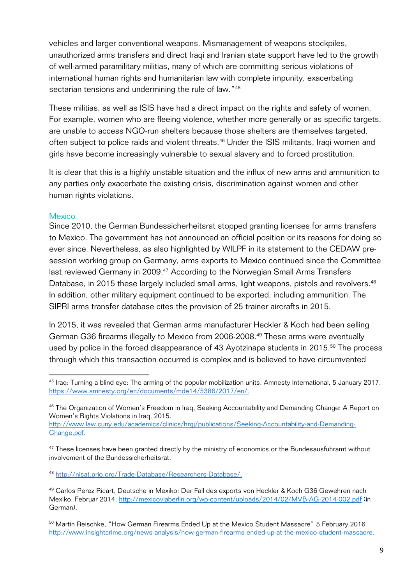vehicles and larger conventional weapons. Mismanagement of weapons stockpiles, unauthorized arms transfers and direct Iraqi and Iranian state support have led to the growth of well-armed paramilitary militias, many of which are committing serious violations of international human rights and humanitarian law with complete impunity, exacerbating sectarian tensions and undermining the rule of law."<sup>45</sup>

These militias, as well as ISIS have had a direct impact on the rights and safety of women. For example, women who are fleeing violence, whether more generally or as specific targets, are unable to access NGO-run shelters because those shelters are themselves targeted, often subject to police raids and violent threats.<sup>46</sup> Under the ISIS militants, Iraqi women and girls have become increasingly vulnerable to sexual slavery and to forced prostitution.

It is clear that this is a highly unstable situation and the influx of new arms and ammunition to any parties only exacerbate the existing crisis, discrimination against women and other human rights violations.

#### **Mexico**

Since 2010, the German Bundessicherheitsrat stopped granting licenses for arms transfers to Mexico. The government has not announced an official position or its reasons for doing so ever since. Nevertheless, as also highlighted by WILPF in its statement to the CEDAW presession working group on Germany, arms exports to Mexico continued since the Committee last reviewed Germany in 2009.<sup>47</sup> According to the Norwegian Small Arms Transfers Database, in 2015 these largely included small arms, light weapons, pistols and revolvers.<sup>48</sup> In addition, other military equipment continued to be exported, including ammunition. The SIPRI arms transfer database cites the provision of 25 trainer aircrafts in 2015.

In 2015, it was revealed that German arms manufacturer Heckler & Koch had been selling German G36 firearms illegally to Mexico from 2006-2008.49 These arms were eventually used by police in the forced disappearance of 43 Ayotzinapa students in 2015.<sup>50</sup> The process through which this transaction occurred is complex and is believed to have circumvented

<sup>&</sup>lt;sup>45</sup> Iraq: Turning a blind eye: The arming of the popular mobilization units, Amnesty International, 5 January 2017, https://www.amnesty.org/en/documents/mde14/5386/2017/en/.

<sup>&</sup>lt;sup>46</sup> The Organization of Women's Freedom in Iraq, Seeking Accountability and Demanding Change: A Report on Women's Rights Violations in Iraq, 2015.

http://www.law.cuny.edu/academics/clinics/hrgj/publications/Seeking-Accountability-and-Demanding-Change.pdf.

<sup>&</sup>lt;sup>47</sup> These licenses have been granted directly by the ministry of economics or the Bundesausfuhramt without involvement of the Bundessicherheitsrat.

<sup>48</sup> http://nisat.prio.org/Trade-Database/Researchers-Database/.

<sup>49</sup> Carlos Perez Ricart, Deutsche in Mexiko: Der Fall des exports von Heckler & Koch G36 Gewehren nach Mexiko, Februar 2014, http://mexicoviaberlin.org/wp-content/uploads/2014/02/MVB-AG-2014-002.pdf (in German).

<sup>50</sup> Martin Reischke, "How German Firearms Ended Up at the Mexico Student Massacre" 5 February 2016 http://www.insightcrime.org/news-analysis/how-german-firearms-ended-up-at-the-mexico-student-massacre.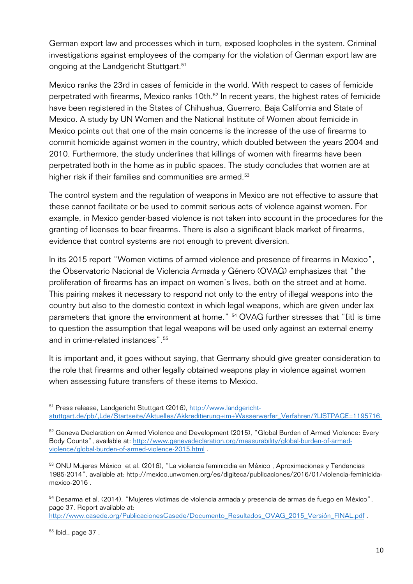German export law and processes which in turn, exposed loopholes in the system. Criminal investigations against employees of the company for the violation of German export law are ongoing at the Landgericht Stuttgart. 51

Mexico ranks the 23rd in cases of femicide in the world. With respect to cases of femicide perpetrated with firearms, Mexico ranks 10th.<sup>52</sup> In recent years, the highest rates of femicide have been registered in the States of Chihuahua, Guerrero, Baja California and State of Mexico. A study by UN Women and the National Institute of Women about femicide in Mexico points out that one of the main concerns is the increase of the use of firearms to commit homicide against women in the country, which doubled between the years 2004 and 2010. Furthermore, the study underlines that killings of women with firearms have been perpetrated both in the home as in public spaces. The study concludes that women are at higher risk if their families and communities are armed.<sup>53</sup>

The control system and the regulation of weapons in Mexico are not effective to assure that these cannot facilitate or be used to commit serious acts of violence against women. For example, in Mexico gender-based violence is not taken into account in the procedures for the granting of licenses to bear firearms. There is also a significant black market of firearms, evidence that control systems are not enough to prevent diversion.

In its 2015 report "Women victims of armed violence and presence of firearms in Mexico", the Observatorio Nacional de Violencia Armada y Género (OVAG) emphasizes that "the proliferation of firearms has an impact on women's lives, both on the street and at home. This pairing makes it necessary to respond not only to the entry of illegal weapons into the country but also to the domestic context in which legal weapons, which are given under lax parameters that ignore the environment at home." <sup>54</sup> OVAG further stresses that "[it] is time to question the assumption that legal weapons will be used only against an external enemy and in crime-related instances".<sup>55</sup>

It is important and, it goes without saying, that Germany should give greater consideration to the role that firearms and other legally obtained weapons play in violence against women when assessing future transfers of these items to Mexico.

54 Desarma et al. (2014), "Mujeres víctimas de violencia armada y presencia de armas de fuego en México", page 37. Report available at:

http://www.casede.org/PublicacionesCasede/Documento\_Resultados\_OVAG\_2015\_Versión\_FINAL.pdf .

<sup>&</sup>lt;u> 1989 - Johann Stein, fransk politik (d. 1989)</u> <sup>51</sup> Press release, Landgericht Stuttgart (2016), http://www.landgerichtstuttgart.de/pb/,Lde/Startseite/Aktuelles/Akkreditierung+im+Wasserwerfer\_Verfahren/?LISTPAGE=1195716.

<sup>&</sup>lt;sup>52</sup> Geneva Declaration on Armed Violence and Development (2015), "Global Burden of Armed Violence: Every Body Counts", available at: http://www.genevadeclaration.org/measurability/global-burden-of-armedviolence/global-burden-of-armed-violence-2015.html .

<sup>&</sup>lt;sup>53</sup> ONU Mujeres México et al. (2016), "La violencia feminicidia en México, Aproximaciones y Tendencias 1985-2014", available at: http://mexico.unwomen.org/es/digiteca/publicaciones/2016/01/violencia-feminicidamexico-2016 .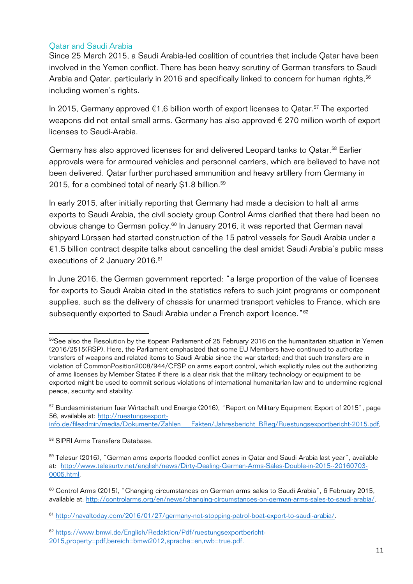#### Qatar and Saudi Arabia

Since 25 March 2015, a Saudi Arabia-led coalition of countries that include Qatar have been involved in the Yemen conflict. There has been heavy scrutiny of German transfers to Saudi Arabia and Qatar, particularly in 2016 and specifically linked to concern for human rights, 56 including women's rights.

In 2015, Germany approved  $\epsilon$ 1,6 billion worth of export licenses to Qatar.<sup>57</sup> The exported weapons did not entail small arms. Germany has also approved € 270 million worth of export licenses to Saudi-Arabia.

Germany has also approved licenses for and delivered Leopard tanks to Oatar.<sup>58</sup> Earlier approvals were for armoured vehicles and personnel carriers, which are believed to have not been delivered. Qatar further purchased ammunition and heavy artillery from Germany in 2015, for a combined total of nearly \$1.8 billion.<sup>59</sup>

In early 2015, after initially reporting that Germany had made a decision to halt all arms exports to Saudi Arabia, the civil society group Control Arms clarified that there had been no obvious change to German policy.<sup>60</sup> In January 2016, it was reported that German naval shipyard Lürssen had started construction of the 15 patrol vessels for Saudi Arabia under a €1.5 billion contract despite talks about cancelling the deal amidst Saudi Arabia's public mass executions of 2 January 2016.<sup>61</sup>

In June 2016, the German government reported: "a large proportion of the value of licenses for exports to Saudi Arabia cited in the statistics refers to such joint programs or component supplies, such as the delivery of chassis for unarmed transport vehicles to France, which are subsequently exported to Saudi Arabia under a French export licence."<sup>62</sup>

info.de/fileadmin/media/Dokumente/Zahlen\_\_\_Fakten/Jahresbericht\_BReg/Ruestungsexportbericht-2015.pdf,

<sup>&</sup>lt;sup>56</sup>See also the Resolution by the €opean Parliament of 25 February 2016 on the humanitarian situation in Yemen (2016/2515(RSP). Here, the Parliament emphasized that some EU Members have continued to authorize transfers of weapons and related items to Saudi Arabia since the war started; and that such transfers are in violation of CommonPosition2008/944/CFSP on arms export control, which explicitly rules out the authorizing of arms licenses by Member States if there is a clear risk that the military technology or equipment to be exported might be used to commit serious violations of international humanitarian law and to undermine regional peace, security and stability.

<sup>&</sup>lt;sup>57</sup> Bundesministerium fuer Wirtschaft und Energie (2016), "Report on Military Equipment Export of 2015", page 56, available at: http://ruestungsexport-

<sup>58</sup> SIPRI Arms Transfers Database.

<sup>&</sup>lt;sup>59</sup> Telesur (2016), "German arms exports flooded conflict zones in Oatar and Saudi Arabia last year", available at: http://www.telesurtv.net/english/news/Dirty-Dealing-German-Arms-Sales-Double-in-2015--20160703- 0005.html.

<sup>60</sup> Control Arms (2015), "Changing circumstances on German arms sales to Saudi Arabia", 6 February 2015, available at: http://controlarms.org/en/news/changing-circumstances-on-german-arms-sales-to-saudi-arabia/.

<sup>61</sup> http://navaltoday.com/2016/01/27/germany-not-stopping-patrol-boat-export-to-saudi-arabia/.

<sup>62</sup> https://www.bmwi.de/English/Redaktion/Pdf/ruestungsexportbericht-2015,property=pdf,bereich=bmwi2012,sprache=en,rwb=true.pdf.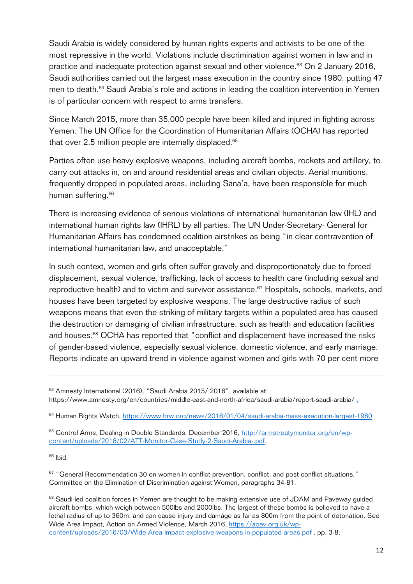Saudi Arabia is widely considered by human rights experts and activists to be one of the most repressive in the world. Violations include discrimination against women in law and in practice and inadequate protection against sexual and other violence.<sup>63</sup> On 2 January 2016, Saudi authorities carried out the largest mass execution in the country since 1980, putting 47 men to death.<sup>64</sup> Saudi Arabia's role and actions in leading the coalition intervention in Yemen is of particular concern with respect to arms transfers.

Since March 2015, more than 35,000 people have been killed and injured in fighting across Yemen. The UN Office for the Coordination of Humanitarian Affairs (OCHA) has reported that over 2.5 million people are internally displaced.<sup>65</sup>

Parties often use heavy explosive weapons, including aircraft bombs, rockets and artillery, to carry out attacks in, on and around residential areas and civilian objects. Aerial munitions, frequently dropped in populated areas, including Sana'a, have been responsible for much human suffering.<sup>66</sup>

There is increasing evidence of serious violations of international humanitarian law (IHL) and international human rights law (IHRL) by all parties. The UN Under-Secretary- General for Humanitarian Affairs has condemned coalition airstrikes as being "in clear contravention of international humanitarian law, and unacceptable."

In such context, women and girls often suffer gravely and disproportionately due to forced displacement, sexual violence, trafficking, lack of access to health care (including sexual and reproductive health) and to victim and survivor assistance.<sup>67</sup> Hospitals, schools, markets, and houses have been targeted by explosive weapons. The large destructive radius of such weapons means that even the striking of military targets within a populated area has caused the destruction or damaging of civilian infrastructure, such as health and education facilities and houses.<sup>68</sup> OCHA has reported that "conflict and displacement have increased the risks of gender-based violence, especially sexual violence, domestic violence, and early marriage. Reports indicate an upward trend in violence against women and girls with 70 per cent more

<u> 1989 - Andrea Santa Andrea Andrea Andrea Andrea Andrea Andrea Andrea Andrea Andrea Andrea Andrea Andrea Andr</u>

<sup>64</sup> Human Rights Watch, https://www.hrw.org/news/2016/01/04/saudi-arabia-mass-execution-largest-1980

<sup>65</sup> Control Arms, Dealing in Double Standards, December 2016, http://armstreatymonitor.org/en/wpcontent/uploads/2016/02/ATT-Monitor-Case-Study-2-Saudi-Arabia-.pdf.

 $66$  Ibid.

<sup>67</sup> "General Recommendation 30 on women in conflict prevention, conflict, and post conflict situations," Committee on the Elimination of Discrimination against Women, paragraphs 34-81.

<sup>68</sup> Saudi-led coalition forces in Yemen are thought to be making extensive use of JDAM and Paveway guided aircraft bombs, which weigh between 500lbs and 2000lbs. The largest of these bombs is believed to have a lethal radius of up to 360m, and can cause injury and damage as far as 800m from the point of detonation. See Wide Area Impact, Action on Armed Violence, March 2016, https://aoav.org.uk/wpcontent/uploads/2016/03/Wide-Area-Impact-explosive-weapons-in-populated-areas.pdf , pp. 3-8.

<sup>63</sup> Amnesty International (2016), "Saudi Arabia 2015/ 2016", available at: https://www.amnesty.org/en/countries/middle-east-and-north-africa/saudi-arabia/report-saudi-arabia/.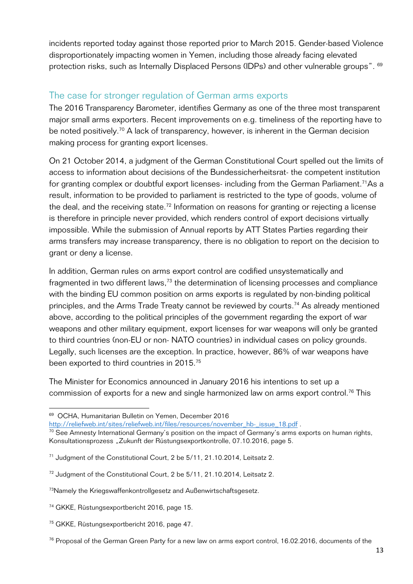incidents reported today against those reported prior to March 2015. Gender-based Violence disproportionately impacting women in Yemen, including those already facing elevated protection risks, such as Internally Displaced Persons (IDPs) and other vulnerable groups". <sup>69</sup>

#### The case for stronger regulation of German arms exports

The 2016 Transparency Barometer, identifies Germany as one of the three most transparent major small arms exporters. Recent improvements on e.g. timeliness of the reporting have to be noted positively.<sup>70</sup> A lack of transparency, however, is inherent in the German decision making process for granting export licenses.

On 21 October 2014, a judgment of the German Constitutional Court spelled out the limits of access to information about decisions of the Bundessicherheitsrat- the competent institution for granting complex or doubtful export licenses- including from the German Parliament.<sup>71</sup>As a result, information to be provided to parliament is restricted to the type of goods, volume of the deal, and the receiving state.<sup>72</sup> Information on reasons for granting or rejecting a license is therefore in principle never provided, which renders control of export decisions virtually impossible. While the submission of Annual reports by ATT States Parties regarding their arms transfers may increase transparency, there is no obligation to report on the decision to grant or deny a license.

In addition, German rules on arms export control are codified unsystematically and fragmented in two different laws, $73$  the determination of licensing processes and compliance with the binding EU common position on arms exports is regulated by non-binding political principles, and the Arms Trade Treaty cannot be reviewed by courts.<sup>74</sup> As already mentioned above, according to the political principles of the government regarding the export of war weapons and other military equipment, export licenses for war weapons will only be granted to third countries (non-EU or non- NATO countries) in individual cases on policy grounds. Legally, such licenses are the exception. In practice, however, 86% of war weapons have been exported to third countries in 2015.<sup>75</sup>

The Minister for Economics announced in January 2016 his intentions to set up a commission of exports for a new and single harmonized law on arms export control.<sup>76</sup> This

<sup>69</sup> OCHA, Humanitarian Bulletin on Yemen, December 2016

http://reliefweb.int/sites/reliefweb.int/files/resources/november\_hb-\_issue\_18.pdf

 $70$  See Amnesty International Germany's position on the impact of Germany's arms exports on human rights, Konsultationsprozess "Zukunft der Rüstungsexportkontrolle, 07.10.2016, page 5.

<sup>71</sup> Judgment of the Constitutional Court, 2 be 5/11, 21.10.2014, Leitsatz 2.

<sup>&</sup>lt;sup>72</sup> Judgment of the Constitutional Court, 2 be 5/11, 21.10.2014, Leitsatz 2.

<sup>73</sup>Namely the Kriegswaffenkontrollgesetz and Außenwirtschaftsgesetz.

<sup>74</sup> GKKE, Rüstungsexportbericht 2016, page 15.

<sup>75</sup> GKKE, Rüstungsexportbericht 2016, page 47.

 $76$  Proposal of the German Green Party for a new law on arms export control, 16.02.2016, documents of the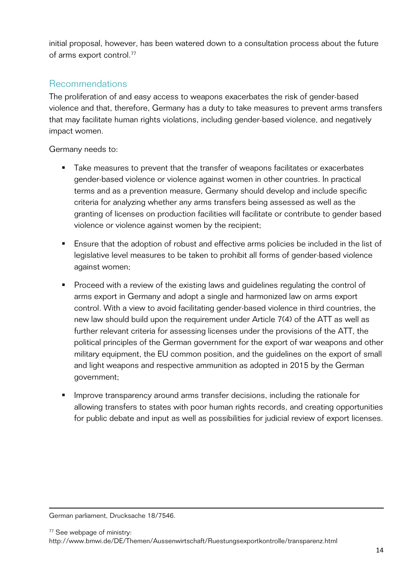initial proposal, however, has been watered down to a consultation process about the future of arms export control.<sup>77</sup>

#### Recommendations

The proliferation of and easy access to weapons exacerbates the risk of gender-based violence and that, therefore, Germany has a duty to take measures to prevent arms transfers that may facilitate human rights violations, including gender-based violence, and negatively impact women.

Germany needs to:

- Take measures to prevent that the transfer of weapons facilitates or exacerbates gender-based violence or violence against women in other countries. In practical terms and as a prevention measure, Germany should develop and include specific criteria for analyzing whether any arms transfers being assessed as well as the granting of licenses on production facilities will facilitate or contribute to gender based violence or violence against women by the recipient;
- Ensure that the adoption of robust and effective arms policies be included in the list of legislative level measures to be taken to prohibit all forms of gender-based violence against women;
- Proceed with a review of the existing laws and guidelines regulating the control of arms export in Germany and adopt a single and harmonized law on arms export control. With a view to avoid facilitating gender-based violence in third countries, the new law should build upon the requirement under Article 7(4) of the ATT as well as further relevant criteria for assessing licenses under the provisions of the ATT, the political principles of the German government for the export of war weapons and other military equipment, the EU common position, and the guidelines on the export of small and light weapons and respective ammunition as adopted in 2015 by the German government;
- Improve transparency around arms transfer decisions, including the rationale for allowing transfers to states with poor human rights records, and creating opportunities for public debate and input as well as possibilities for judicial review of export licenses.

<u> 1989 - Andrea Santa Andrea Andrea Andrea Andrea Andrea Andrea Andrea Andrea Andrea Andrea Andrea Andrea Andr</u> German parliament, Drucksache 18/7546.

<sup>77</sup> See webpage of ministry:

http://www.bmwi.de/DE/Themen/Aussenwirtschaft/Ruestungsexportkontrolle/transparenz.html